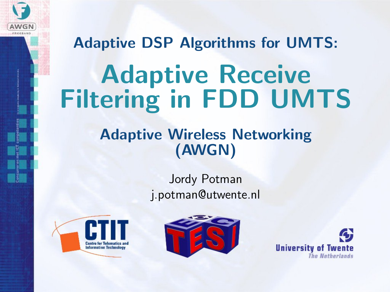

# Adaptive DSP Algorithms for UMTS: Adaptive Receive Filtering in FDD UMTS

#### Adaptive Wireless Networking (AWGN)

#### Jordy Potman j.potman@utwente.nl





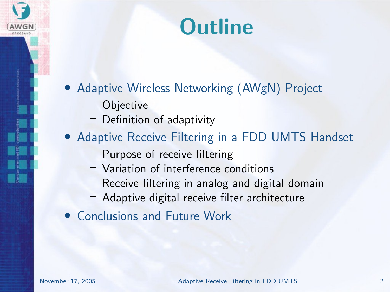#### **Outline**

- Adaptive Wireless Networking (AWgN) Project
	- Objective
	- Definition of adaptivity
- Adaptive Receive Filtering in a FDD UMTS Handset
	- Purpose of receive filtering
	- Variation of interference conditions
	- Receive filtering in analog and digital domain
	- Adaptive digital receive filter architecture
- Conclusions and Future Work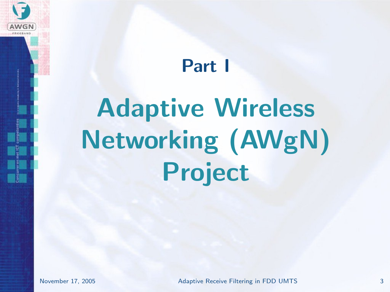<span id="page-2-0"></span>

# [Adaptive Wireless](#page-2-0) [Networking \(AWgN\)](#page-2-0) [Project](#page-2-0)

**AWGN**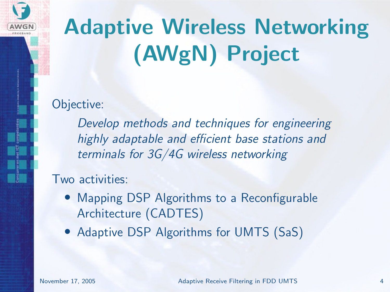

# Adaptive Wireless Networking (AWgN) Project

Objective:

Develop methods and techniques for engineering highly adaptable and efficient base stations and terminals for 3G/4G wireless networking

#### Two activities:

- Mapping DSP Algorithms to a Reconfigurable Architecture (CADTES)
- Adaptive DSP Algorithms for UMTS (SaS)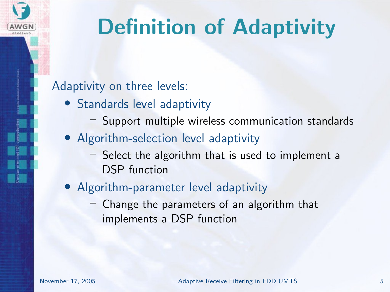

### Definition of Adaptivity

#### Adaptivity on three levels:

- Standards level adaptivity
	- Support multiple wireless communication standards
- Algorithm-selection level adaptivity
	- Select the algorithm that is used to implement a DSP function
- Algorithm-parameter level adaptivity
	- Change the parameters of an algorithm that implements a DSP function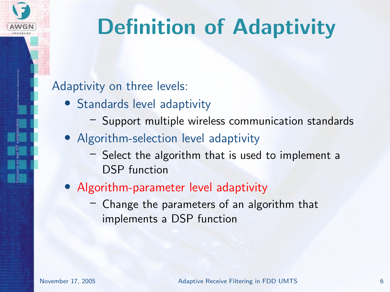

### Definition of Adaptivity

#### Adaptivity on three levels:

- Standards level adaptivity
	- Support multiple wireless communication standards
- Algorithm-selection level adaptivity
	- Select the algorithm that is used to implement a DSP function
- Algorithm-parameter level adaptivity
	- Change the parameters of an algorithm that implements a DSP function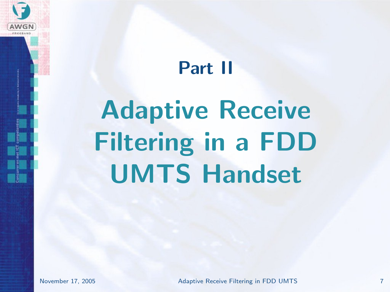# <span id="page-6-0"></span>Part II [Adaptive Receive](#page-6-0) [Filtering in a FDD](#page-6-0) [UMTS Handset](#page-6-0)

AWGN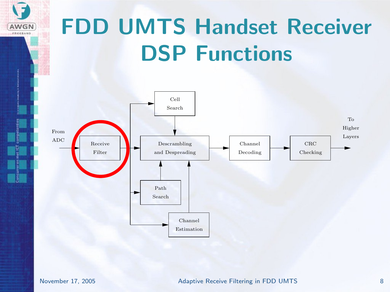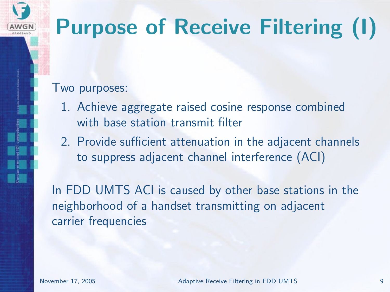### Purpose of Receive Filtering (I)

#### Two purposes:

AWGN

- 1. Achieve aggregate raised cosine response combined with base station transmit filter
- 2. Provide sufficient attenuation in the adjacent channels to suppress adjacent channel interference (ACI)

In FDD UMTS ACI is caused by other base stations in the neighborhood of a handset transmitting on adjacent carrier frequencies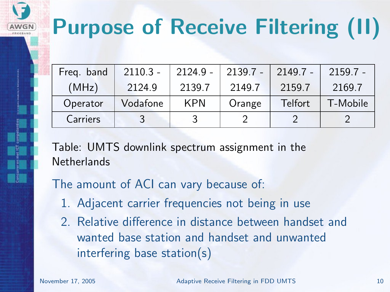# Purpose of Receive Filtering (II)

| Freg. band | $2110.3 -$ | $2124.9 -$ | $2139.7 -$ | $2149.7 -$ | $2159.7 -$ |
|------------|------------|------------|------------|------------|------------|
| (MHz)      | 2124.9     | 2139.7     | 2149.7     | 2159.7     | 2169.7     |
| Operator   | Vodafone   | <b>KPN</b> | Orange     | Telfort    | T-Mobile   |
| Carriers   |            |            |            |            |            |

Table: UMTS downlink spectrum assignment in the **Netherlands** 

The amount of ACI can vary because of:

- 1. Adjacent carrier frequencies not being in use
- 2. Relative difference in distance between handset and wanted base station and handset and unwanted interfering base station(s)

AWGN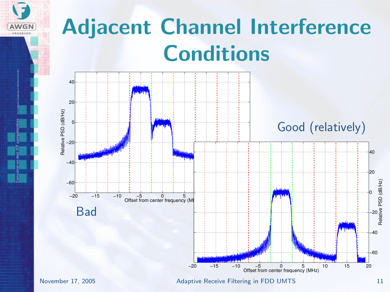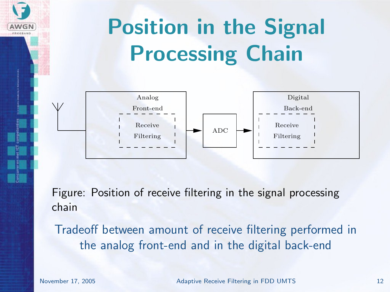

Figure: Position of receive filtering in the signal processing chain

Tradeoff between amount of receive filtering performed in the analog front-end and in the digital back-end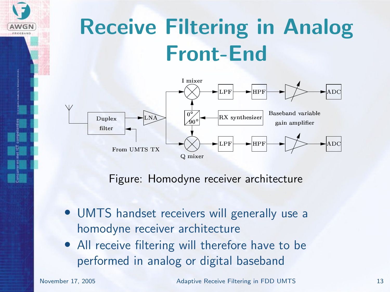

### Receive Filtering in Analog Front-End



Figure: Homodyne receiver architecture

- UMTS handset receivers will generally use a homodyne receiver architecture
- All receive filtering will therefore have to be performed in analog or digital baseband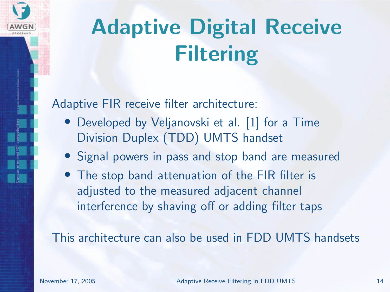

## Adaptive Digital Receive Filtering

Adaptive FIR receive filter architecture:

- Developed by Veljanovski et al. [\[1\]](#page-26-0) for a Time Division Duplex (TDD) UMTS handset
- Signal powers in pass and stop band are measured
- The stop band attenuation of the FIR filter is adjusted to the measured adjacent channel interference by shaving off or adding filter taps

This architecture can also be used in FDD UMTS handsets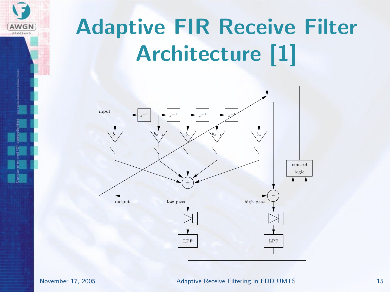

# Adaptive FIR Receive Filter Architecture [\[1\]](#page-26-0)

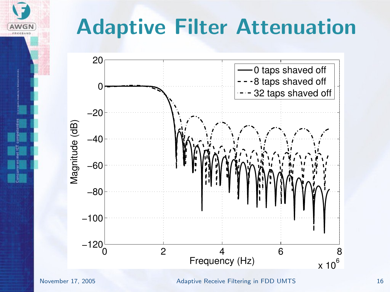## Adaptive Filter Attenuation



AWGN

November 17, 2005 Adaptive Receive Filtering in FDD UMTS 16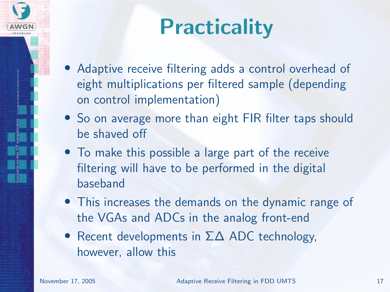

### **Practicality**

- Adaptive receive filtering adds a control overhead of eight multiplications per filtered sample (depending on control implementation)
- So on average more than eight FIR filter taps should be shaved off
- To make this possible a large part of the receive filtering will have to be performed in the digital baseband
- This increases the demands on the dynamic range of the VGAs and ADCs in the analog front-end
- Recent developments in  $\Sigma\Delta$  ADC technology, however, allow this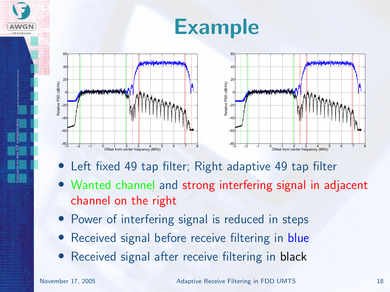

- Left fixed 49 tap filter; Right adaptive 49 tap filter
- Wanted channel and strong interfering signal in adjacent channel on the right
- Power of interfering signal is reduced in steps
- Received signal before receive filtering in blue
- Received signal after receive filtering in black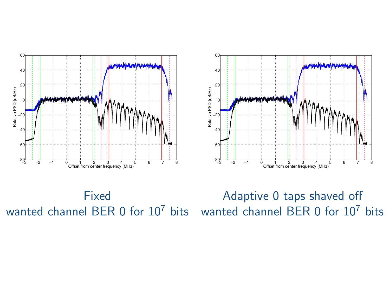



Fixed

Adaptive 0 taps shaved off  $\frac{1}{\sqrt{3}-2}$   $\frac{1}{2}$   $\frac{1}{2}$   $\frac{1}{2}$   $\frac{1}{2}$   $\frac{1}{2}$   $\frac{1}{2}$   $\frac{1}{2}$   $\frac{1}{2}$   $\frac{1}{2}$   $\frac{1}{2}$   $\frac{1}{2}$   $\frac{1}{2}$   $\frac{1}{2}$   $\frac{1}{2}$   $\frac{1}{2}$   $\frac{1}{2}$   $\frac{1}{2}$   $\frac{1}{2}$   $\frac{1}{2}$   $\frac{1}{2}$   $\frac{1}{$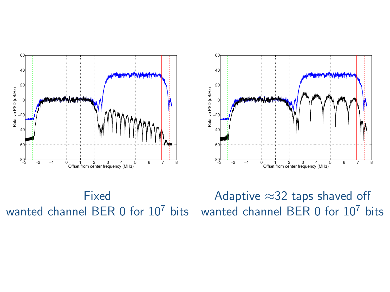



Fixed

Adaptive ≈32 taps shaved off  $\frac{1}{\sqrt{3} + \frac{1}{2} - 1}$   $\frac{1}{\sqrt{3} + \frac{1}{2} - 1}$   $\frac{1}{\sqrt{3} + \frac{1}{2} - 1}$   $\frac{1}{\sqrt{3} + \frac{1}{2} - 1}$   $\frac{1}{\sqrt{3} + \frac{1}{2} - 1}$   $\frac{1}{\sqrt{3} + \frac{1}{2} - 1}$   $\frac{1}{\sqrt{3} + \frac{1}{2} - 1}$   $\frac{1}{\sqrt{3} + \frac{1}{2} + \frac{1}{2} - 1}$   $\frac{1}{\sqrt{3} + \$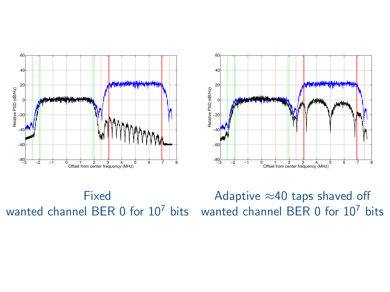



Fixed

Adaptive ≈40 taps shaved off  $\frac{1}{\sqrt{3}-2}$   $\frac{1}{2}$   $\frac{1}{2}$   $\frac{1}{2}$   $\frac{1}{2}$   $\frac{1}{2}$   $\frac{1}{2}$   $\frac{1}{2}$   $\frac{1}{2}$   $\frac{1}{2}$   $\frac{1}{2}$   $\frac{1}{2}$   $\frac{1}{2}$   $\frac{1}{2}$   $\frac{1}{2}$   $\frac{1}{2}$   $\frac{1}{2}$   $\frac{1}{2}$   $\frac{1}{2}$   $\frac{1}{2}$   $\frac{1}{2}$   $\frac{1}{$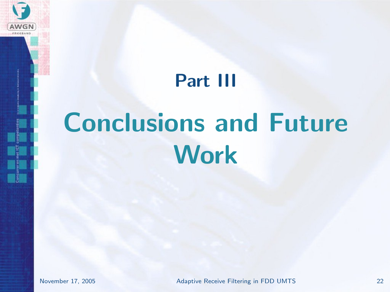

#### <span id="page-21-0"></span>Part III

# [Conclusions and Future](#page-21-0) **[Work](#page-21-0)**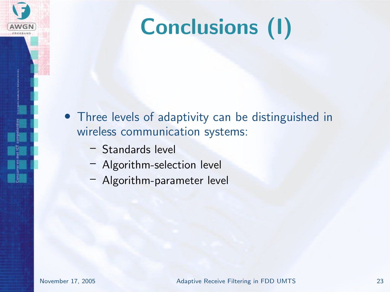

# Conclusions (I)

- Three levels of adaptivity can be distinguished in wireless communication systems:
	- Standards level
	- Algorithm-selection level
	- Algorithm-parameter level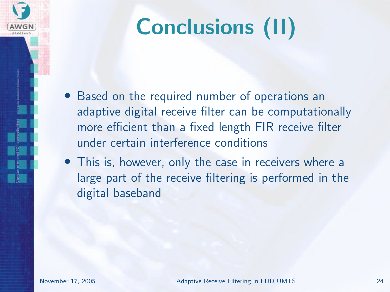# Conclusions (II)

- Based on the required number of operations an adaptive digital receive filter can be computationally more efficient than a fixed length FIR receive filter under certain interference conditions
- This is, however, only the case in receivers where a large part of the receive filtering is performed in the digital baseband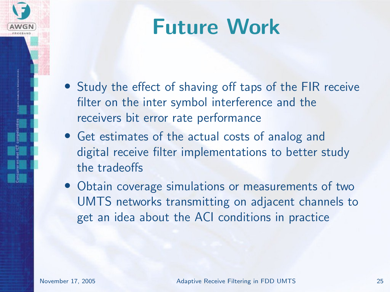### Future Work

- Study the effect of shaving off taps of the FIR receive filter on the inter symbol interference and the receivers bit error rate performance
- Get estimates of the actual costs of analog and digital receive filter implementations to better study the tradeoffs
- Obtain coverage simulations or measurements of two UMTS networks transmitting on adjacent channels to get an idea about the ACI conditions in practice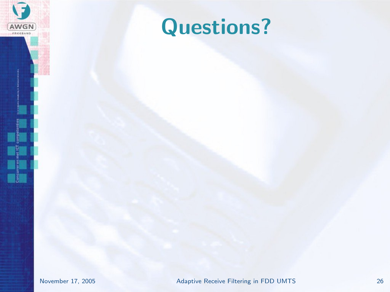

### Questions?